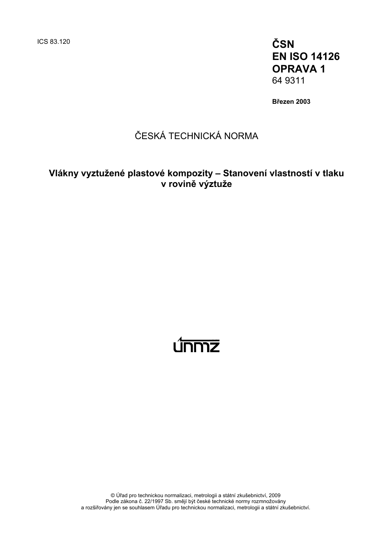ICS 83.120 **ČSN EN ISO 14126 OPRAVA 1**  64 9311

**Březen 2003** 

# ČESKÁ TECHNICKÁ NORMA

## **Vlákny vyztužené plastové kompozity – Stanovení vlastností v tlaku v rovině výztuže**

# <u>únmz</u>

© Úřad pro technickou normalizaci, metrologii a státní zkušebnictví, 2009 Podle zákona č. 22/1997 Sb. smějí být české technické normy rozmnožovány a rozšiřovány jen se souhlasem Úřadu pro technickou normalizaci, metrologii a státní zkušebnictví.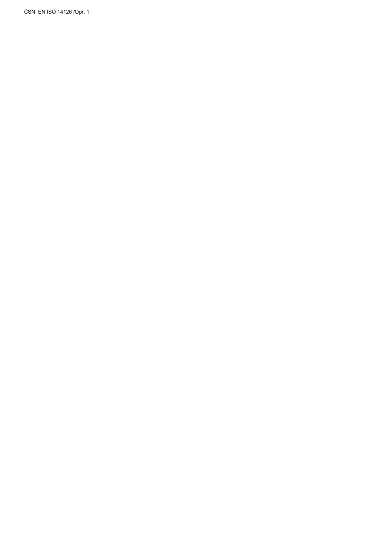ČSN EN ISO 14126 / Opr. 1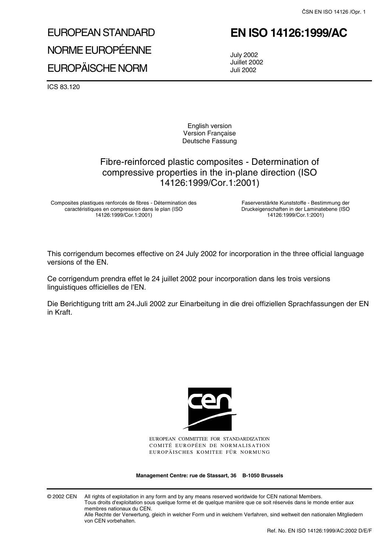# EUROPEAN STANDARD NORME EUROPÉENNE EUROPÄISCHE NORM

# **EN ISO 14126:1999/AC**

July 2002 Juillet 2002 Juli 2002

ICS 83.120

English version Version Française Deutsche Fassung

### Fibre-reinforced plastic composites - Determination of compressive properties in the in-plane direction (ISO 14126:1999/Cor.1:2001)

Composites plastiques renforcés de fibres - Détermination des caractéristiques en compression dans le plan (ISO 14126:1999/Cor.1:2001)

Faserverstärkte Kunststoffe - Bestimmung der Druckeigenschaften in der Laminatebene (ISO 14126:1999/Cor.1:2001)

This corrigendum becomes effective on 24 July 2002 for incorporation in the three official language versions of the EN.

Ce corrigendum prendra effet le 24 juillet 2002 pour incorporation dans les trois versions linguistiques officielles de l'EN.

Die Berichtigung tritt am 24.Juli 2002 zur Einarbeitung in die drei offiziellen Sprachfassungen der EN in Kraft.



EUROPEAN COMMITTEE FOR STANDARDIZATION COMITÉ EUROPÉEN DE NORMALISATION EUROPÄISCHES KOMITEE FÜR NORMUNG

**Management Centre: rue de Stassart, 36 B-1050 Brussels**

© 2002 CEN All rights of exploitation in any form and by any means reserved worldwide for CEN national Members. Tous droits d'exploitation sous quelque forme et de quelque manière que ce soit réservés dans le monde entier aux membres nationaux du CEN.

Alle Rechte der Verwertung, gleich in welcher Form und in welchem Verfahren, sind weltweit den nationalen Mitgliedern von CEN vorbehalten.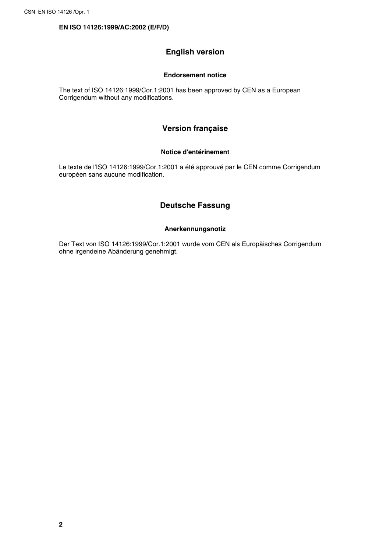#### **EN ISO 14126:1999/AC:2002 (E/F/D)**

#### **English version**

#### **Endorsement notice**

The text of ISO 14126:1999/Cor.1:2001 has been approved by CEN as a European Corrigendum without any modifications.

### **Version française**

#### **Notice d'entérinement**

Le texte de l'ISO 14126:1999/Cor.1:2001 a été approuvé par le CEN comme Corrigendum européen sans aucune modification.

#### **Deutsche Fassung**

#### **Anerkennungsnotiz**

Der Text von ISO 14126:1999/Cor.1:2001 wurde vom CEN als Europäisches Corrigendum ohne irgendeine Abänderung genehmigt.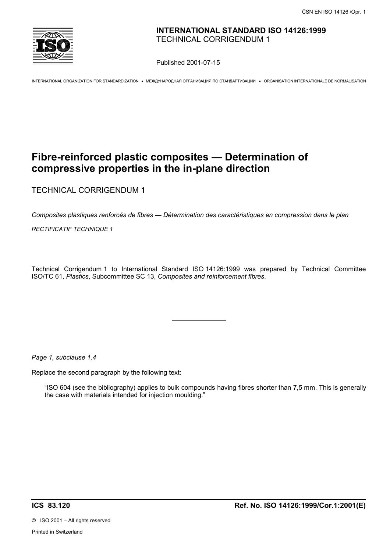

#### **INTERNATIONAL STANDARD ISO 14126:1999**  TECHNICAL CORRIGENDUM 1

Published 2001-07-15

INTERNATIONAL ORGANIZATION FOR STANDARDIZATION • МЕЖДУНАРОДНАЯ ОРГАНИЗАЦИЯ ПО СТАНДАРТИЗАЦИИ • ORGANISATION INTERNATIONALE DE NORMALISATION

# **Fibre-reinforced plastic composites — Determination of compressive properties in the in-plane direction**

TECHNICAL CORRIGENDUM 1

*Composites plastiques renforcés de fibres — Détermination des caractéristiques en compression dans le plan*

*RECTIFICATIF TECHNIQUE 1*

Technical Corrigendum 1 to International Standard ISO 14126:1999 was prepared by Technical Committee ISO/TC 61, *Plastics*, Subcommittee SC 13, *Composites and reinforcement fibres*.

*Page 1, subclause 1.4* 

Replace the second paragraph by the following text:

"ISO 604 (see the bibliography) applies to bulk compounds having fibres shorter than 7,5 mm. This is generally the case with materials intended for injection moulding."

©ISO 2001 – All rights reserved